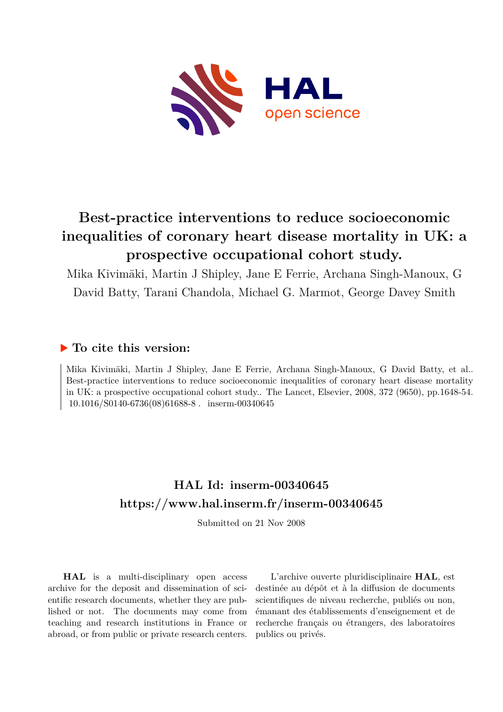

# **Best-practice interventions to reduce socioeconomic inequalities of coronary heart disease mortality in UK: a prospective occupational cohort study.**

Mika Kivimäki, Martin J Shipley, Jane E Ferrie, Archana Singh-Manoux, G David Batty, Tarani Chandola, Michael G. Marmot, George Davey Smith

## **To cite this version:**

Mika Kivimäki, Martin J Shipley, Jane E Ferrie, Archana Singh-Manoux, G David Batty, et al.. Best-practice interventions to reduce socioeconomic inequalities of coronary heart disease mortality in UK: a prospective occupational cohort study.. The Lancet, Elsevier, 2008, 372 (9650), pp.1648-54. 10.1016/S0140-6736(08)61688-8. inserm-00340645

# **HAL Id: inserm-00340645 <https://www.hal.inserm.fr/inserm-00340645>**

Submitted on 21 Nov 2008

**HAL** is a multi-disciplinary open access archive for the deposit and dissemination of scientific research documents, whether they are published or not. The documents may come from teaching and research institutions in France or abroad, or from public or private research centers.

L'archive ouverte pluridisciplinaire **HAL**, est destinée au dépôt et à la diffusion de documents scientifiques de niveau recherche, publiés ou non, émanant des établissements d'enseignement et de recherche français ou étrangers, des laboratoires publics ou privés.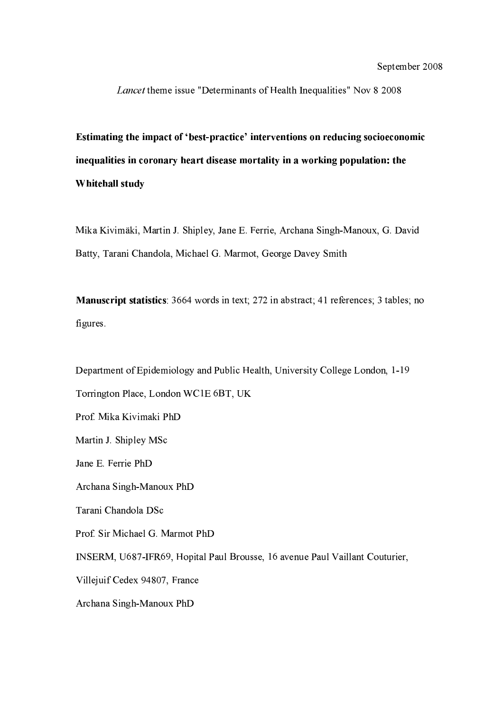Lancet theme issue "Determinants of Health Inequalities" Nov 8 2008

Estimating the impact of 'best-practice' interventions on reducing socioeconomic inequalities in coronary heart disease mortality in a working population: the Whitehall study

Mika Kivimäki, Martin J. Shipley, Jane E. Ferrie, Archana Singh-Manoux, G. David Batty, Tarani Chandola, Michael G. Marmot, George Davey Smith

Manuscript statistics: 3664 words in text; 272 in abstract; 41 references; 3 tables; no figures.

Department of Epidemiology and Public Health, University College London, 1-19 Torrington Place, London WC1E 6BT, UK Prof. Mika Kivimaki PhD Martin J. Shipley MSc Jane E. Ferrie PhD Archana Singh-Manoux PhD Tarani Chandola DSc Prof. Sir Michael G. Marmot PhD INSERM, U687-IFR69, Hopital Paul Brousse, 16 avenue Paul Vaillant Couturier, Villejuif Cedex 94807, France Archana Singh-Manoux PhD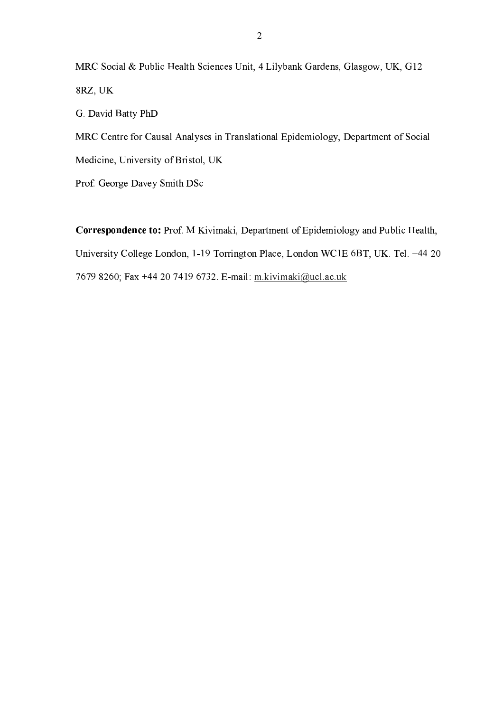MRC Social & Public Health Sciences Unit, 4 Lilybank Gardens, Glasgow, UK, G12 8RZ, UK

G. David Batty PhD

MRC Centre for Causal Analyses in Translational Epidemiology, Department of Social Medicine, University of Bristol, UK

Prof. George Davey Smith DSc

Correspondence to: Prof. M Kivimaki, Department of Epidemiology and Public Health, University College London, 1-19 Torrington Place, London WC1E 6BT, UK. Tel. +44 20 7679 8260; Fax +44 20 7419 6732. E-mail: m.kivimaki@ucl.ac.uk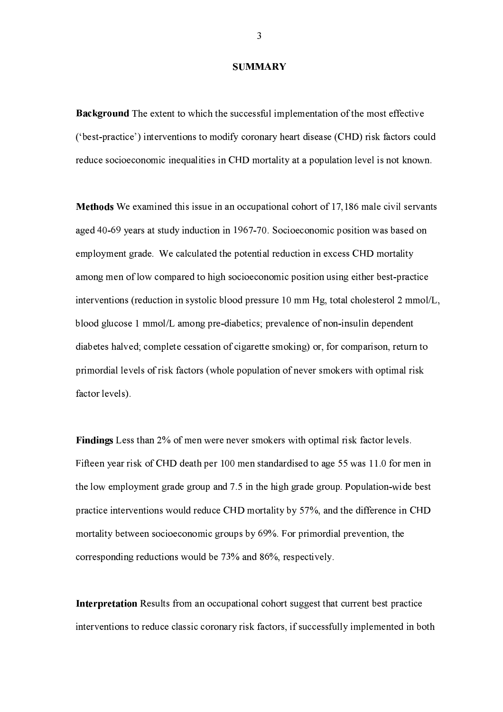#### **SUMMARY**

**Background** The extent to which the successful implementation of the most effective ('best-practice') interventions to modify coronary heart disease (CHD) risk factors could reduce socioeconomic inequalities in CHD mortality at a population level is not known.

**Methods** We examined this issue in an occupational cohort of 17,186 male civil servants aged 40-69 years at study induction in 1967-70. Socioeconomic position was based on employment grade. We calculated the potential reduction in excess CHD mortality among men of low compared to high socioeconomic position using either best-practice interventions (reduction in systolic blood pressure 10 mm Hg, total cholesterol 2 mmol/L, blood glucose 1 mmol/L among pre-diabetics; prevalence of non-insulin dependent diabetes halved; complete cessation of cigarette smoking) or, for comparison, return to primordial levels of risk factors (whole population of never smokers with optimal risk factor levels).

Findings Less than 2% of men were never smokers with optimal risk factor levels. Fifteen year risk of CHD death per 100 men standardised to age 55 was 11.0 for men in the low employment grade group and 7.5 in the high grade group. Population-wide best practice interventions would reduce CHD mortality by 57%, and the difference in CHD mortality between socioeconomic groups by 69%. For primordial prevention, the corresponding reductions would be 73% and 86%, respectively.

Interpretation Results from an occupational cohort suggest that current best practice interventions to reduce classic coronary risk factors, if successfully implemented in both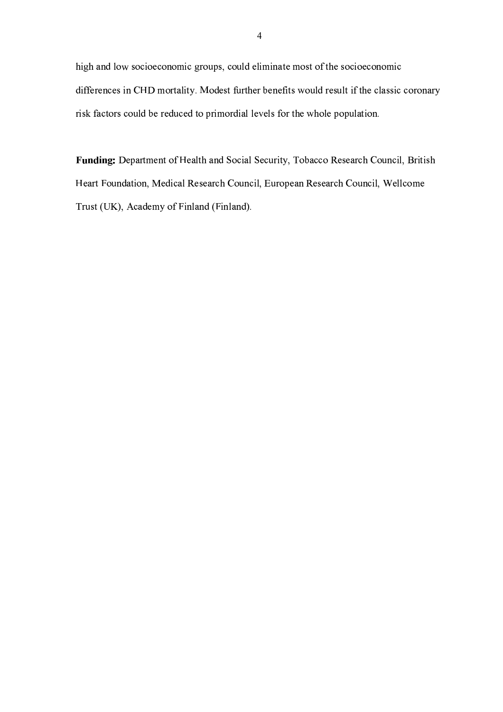/--0.-7/2 ",2- /2-2.2- K [2%-6"[w 2%-77> /.-0h 2="@246k",2- /2-2.2 > /4&4
,.1" /.-5D\* -2
&07/ 8z@y p2-1"&]4K%-& -.-4; ," 2%-7/)
,1"%67 /46-!70" ", >!2
[2.0
&z , K"qA40+2
\$" 2%-7/  ,1%'h:2)
; /-2
[ /0767>B-7#"34,2
= 27/ -2%-7/0+ /2.6y

3a@N@`@IKN@O6m \*-0
#-.1]2465-078-0.C2- /07@-+%-, 8zw-32 02)£!",0
[t2%-. >7/w , 8 #", 50
c}=2%-.0+ /2.w ph >07£!"[0
,-2%-. K7/w{3%-,2-h0.k£|1",h0
,-2%-. K7/w7K7>2 &%@" Ds,w~Dh0z24@} /.7>0. }] /.7>0.y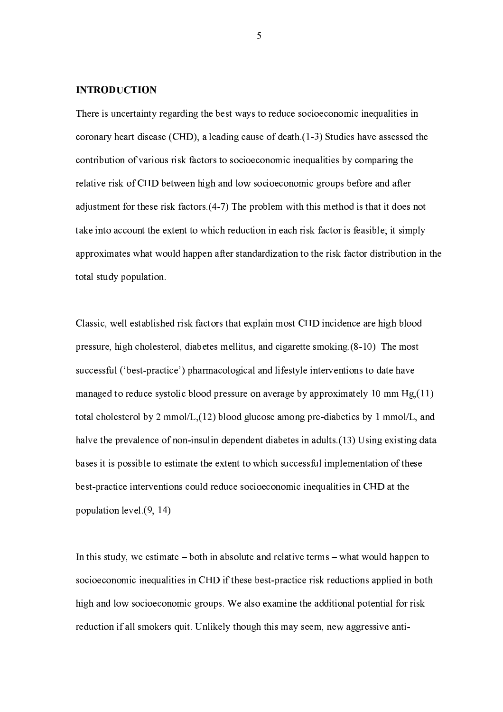#### **INTRODUCTION**

There is uncertainty regarding the best ways to reduce socioeconomic inequalities in coronary heart disease (CHD), a leading cause of death  $(1-3)$  Studies have assessed the contribution of various risk factors to socioeconomic inequalities by comparing the relative risk of CHD between high and low socioeconomic groups before and after adjustment for these risk factors (4-7) The problem with this method is that it does not take into account the extent to which reduction in each risk factor is feasible; it simply approximates what would happen after standardization to the risk factor distribution in the total study population.

Classic, well established risk factors that explain most CHD incidence are high blood pressure, high cholesterol, diabetes mellitus, and cigarette smoking (8-10) The most successful ('best-practice') pharmacological and lifestyle interventions to date have managed to reduce systolic blood pressure on average by approximately 10 mm  $Hg(11)$ total cholesterol by 2 mmol/L,  $(12)$  blood glucose among pre-diabetics by 1 mmol/L, and halve the prevalence of non-insulin dependent diabetes in adults (13) Using existing data bases it is possible to estimate the extent to which successful implementation of these best-practice interventions could reduce socioeconomic inequalities in CHD at the population level (9, 14)

In this study, we estimate  $-$  both in absolute and relative terms  $-$  what would happen to socioeconomic inequalities in CHD if these best-practice risk reductions applied in both high and low socioeconomic groups. We also examine the additional potential for risk reduction if all smokers quit. Unlikely though this may seem, new aggressive anti-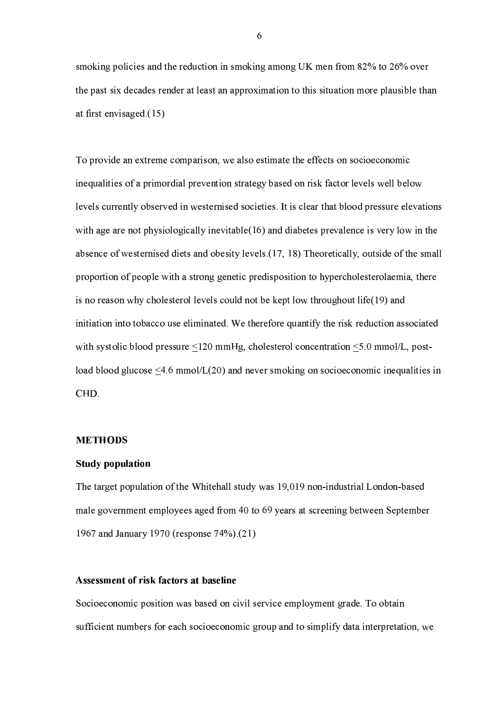smoking policies and the reduction in smoking among UK men from 82% to 26% over the past six decades render at least an approximation to this situation more plausible than at first envisaged  $(15)$ 

To provide an extreme comparison, we also estimate the effects on socioeconomic inequalities of a primordial prevention strategy based on risk factor levels well below levels currently observed in westernised societies. It is clear that blood pressure elevations with age are not physiologically inevitable  $(16)$  and diabetes prevalence is very low in the absence of westernised diets and obesity levels (17, 18) Theoretically, outside of the small proportion of people with a strong genetic predisposition to hypercholesterolaemia, there is no reason why cholesterol levels could not be kept low throughout life(19) and initiation into tobacco use eliminated. We therefore quantify the risk reduction associated with systolic blood pressure  $\leq 120$  mmHg, cholesterol concentration  $\leq 5.0$  mmol/L, postload blood glucose  $\leq 4.6$  mmol/L(20) and never smoking on socioeconomic inequalities in CHD.

#### **METHODS**

### **Study population**

The target population of the Whitehall study was 19,019 non-industrial London-based male government employees aged from 40 to 69 years at screening between September 1967 and January 1970 (response 74%).(21)

## Assessment of risk factors at baseline

Socioeconomic position was based on civil service employment grade. To obtain sufficient numbers for each socioeconomic group and to simplify data interpretation, we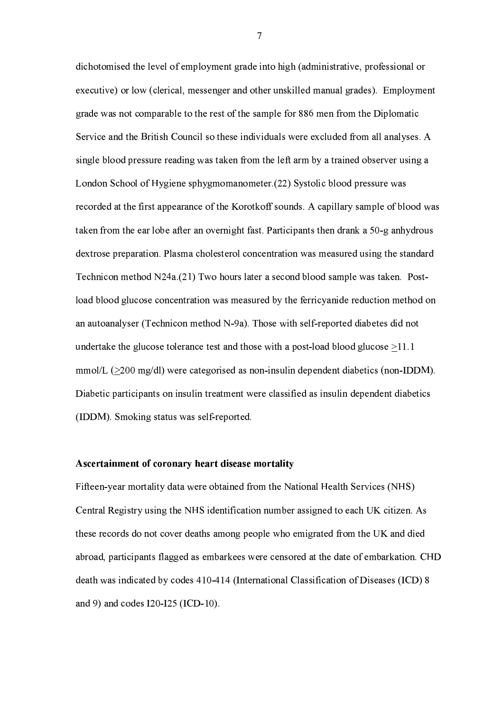dichotomised the level of employment grade into high (administrative, professional or executive) or low (clerical, messenger and other unskilled manual grades). Employment grade was not comparable to the rest of the sample for 886 men from the Diplomatic Service and the British Council so these individuals were excluded from all analyses. A single blood pressure reading was taken from the left arm by a trained observer using a London School of Hygiene sphygmomanometer (22) Systolic blood pressure was recorded at the first appearance of the Korotkoff sounds. A capillary sample of blood was taken from the ear lobe after an overnight fast. Participants then drank a 50-g anhydrous dextrose preparation. Plasma cholesterol concentration was measured using the standard Technicon method  $N24a(21)$  Two hours later a second blood sample was taken. Postload blood glucose concentration was measured by the ferricyanide reduction method on an autoanalyser (Technicon method N-9a). Those with self-reported diabetes did not undertake the glucose tolerance test and those with a post-load blood glucose  $>11.1$  $mmol/L$  ( $>200$  mg/dl) were categorised as non-insulin dependent diabetics (non-IDDM). Diabetic participants on insulin treatment were classified as insulin dependent diabetics (IDDM). Smoking status was self-reported.

#### Ascertainment of coronary heart disease mortality

Fifteen-year mortality data were obtained from the National Health Services (NHS) Central Registry using the NHS identification number assigned to each UK citizen. As these records do not cover deaths among people who emigrated from the UK and died abroad, participants flagged as embarkees were censored at the date of embarkation. CHD death was indicated by codes 410-414 (International Classification of Diseases (ICD) 8 and 9) and codes I20-I25 (ICD-10).

 $\overline{7}$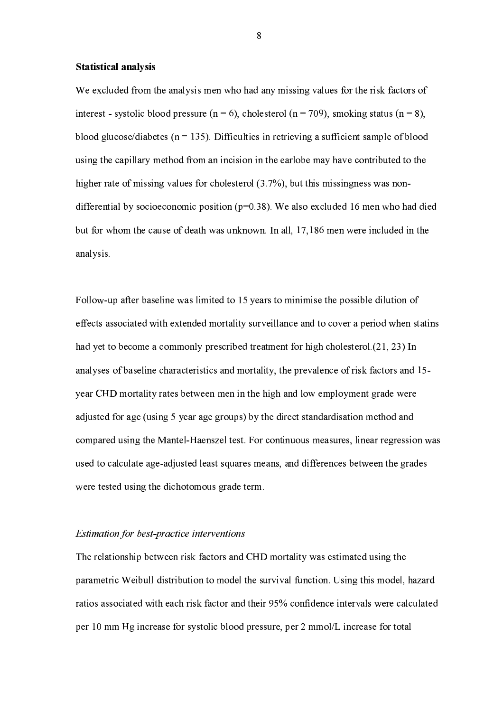#### **Statistical analysis**

We excluded from the analysis men who had any missing values for the risk factors of interest - systolic blood pressure ( $n = 6$ ), cholesterol ( $n = 709$ ), smoking status ( $n = 8$ ), blood glucose/diabetes ( $n = 135$ ). Difficulties in retrieving a sufficient sample of blood using the capillary method from an incision in the earlobe may have contributed to the higher rate of missing values for cholesterol (3.7%), but this missingness was nondifferential by socioeconomic position ( $p=0.38$ ). We also excluded 16 men who had died but for whom the cause of death was unknown. In all, 17,186 men were included in the analysis.

Follow-up after baseline was limited to 15 years to minimise the possible dilution of effects associated with extended mortality surveillance and to cover a period when statins had yet to become a commonly prescribed treatment for high cholesterol.(21, 23) In analyses of baseline characteristics and mortality, the prevalence of risk factors and 15year CHD mortality rates between men in the high and low employment grade were adjusted for age (using 5 year age groups) by the direct standardisation method and compared using the Mantel-Haenszel test. For continuous measures, linear regression was used to calculate age-adjusted least squares means, and differences between the grades were tested using the dichotomous grade term.

#### *Estimation for best-practice interventions*

The relationship between risk factors and CHD mortality was estimated using the parametric Weibull distribution to model the survival function. Using this model, hazard ratios associated with each risk factor and their 95% confidence intervals were calculated per 10 mm Hg increase for systolic blood pressure, per 2 mmol/L increase for total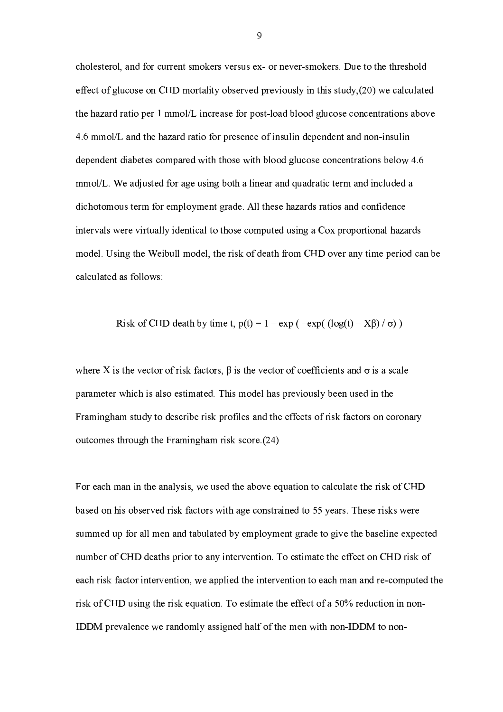cholesterol, and for current smokers versus ex- or never-smokers. Due to the threshold effect of glucose on CHD mortality observed previously in this study, (20) we calculated the hazard ratio per 1 mmol/L increase for post-load blood glucose concentrations above 4.6 mmol/L and the hazard ratio for presence of insulin dependent and non-insulin dependent diabetes compared with those with blood glucose concentrations below 4.6 mmol/L. We adjusted for age using both a linear and quadratic term and included a dichotomous term for employment grade. All these hazards ratios and confidence intervals were virtually identical to those computed using a Cox proportional hazards model. Using the Weibull model, the risk of death from CHD over any time period can be calculated as follows:

Risk of CHD death by time t, 
$$
p(t) = 1 - \exp(-\exp((\log(t) - X\beta)/\sigma))
$$

where X is the vector of risk factors,  $\beta$  is the vector of coefficients and  $\sigma$  is a scale parameter which is also estimated. This model has previously been used in the Framingham study to describe risk profiles and the effects of risk factors on coronary outcomes through the Framingham risk score (24)

For each man in the analysis, we used the above equation to calculate the risk of CHD based on his observed risk factors with age constrained to 55 years. These risks were summed up for all men and tabulated by employment grade to give the baseline expected number of CHD deaths prior to any intervention. To estimate the effect on CHD risk of each risk factor intervention, we applied the intervention to each man and re-computed the risk of CHD using the risk equation. To estimate the effect of a 50% reduction in non-IDDM prevalence we randomly assigned half of the men with non-IDDM to non-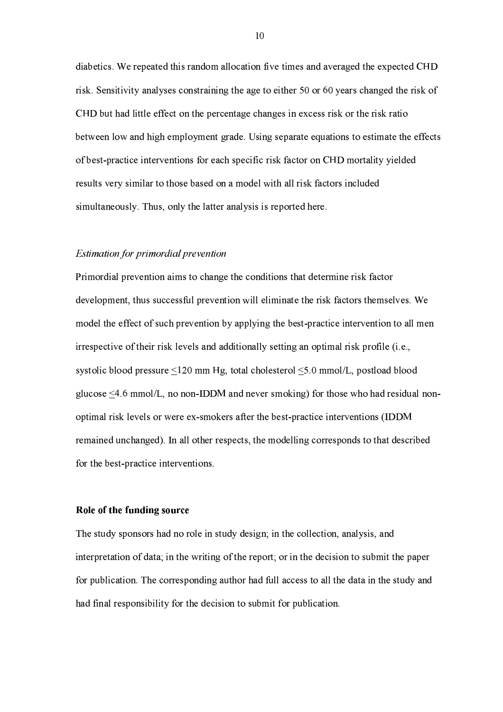diabetics. We repeated this random allocation five times and averaged the expected CHD risk. Sensitivity analyses constraining the age to either 50 or 60 years changed the risk of CHD but had little effect on the percentage changes in excess risk or the risk ratio between low and high employment grade. Using separate equations to estimate the effects of best-practice interventions for each specific risk factor on CHD mortality yielded results very similar to those based on a model with all risk factors included simultaneously. Thus, only the latter analysis is reported here.

#### **Estimation for primordial prevention**

Primordial prevention aims to change the conditions that determine risk factor development, thus successful prevention will eliminate the risk factors themselves. We model the effect of such prevention by applying the best-practice intervention to all men irrespective of their risk levels and additionally setting an optimal risk profile (i.e., systolic blood pressure  $\leq 120$  mm Hg, total cholesterol  $\leq 5.0$  mmol/L, postload blood glucose  $\leq 4.6$  mmol/L, no non-IDDM and never smoking) for those who had residual nonoptimal risk levels or were ex-smokers after the best-practice interventions (IDDM remained unchanged). In all other respects, the modelling corresponds to that described for the best-practice interventions.

#### Role of the funding source

The study sponsors had no role in study design; in the collection, analysis, and interpretation of data; in the writing of the report; or in the decision to submit the paper for publication. The corresponding author had full access to all the data in the study and had final responsibility for the decision to submit for publication.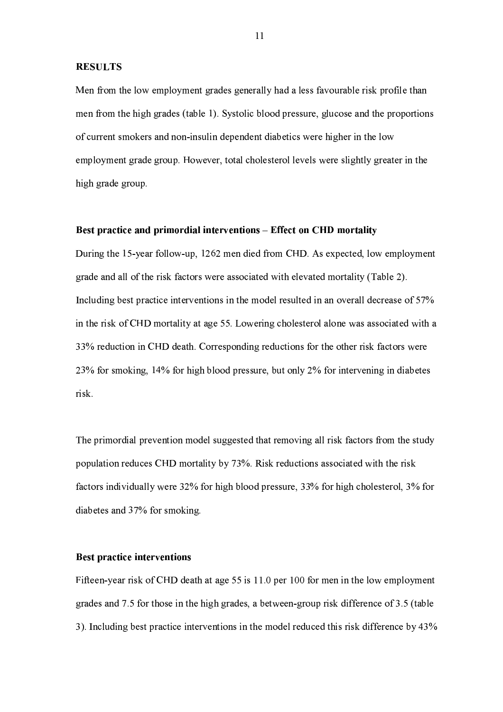#### **RESULTS**

Men from the low employment grades generally had a less favourable risk profile than men from the high grades (table 1). Systolic blood pressure, glucose and the proportions of current smokers and non-insulin dependent diabetics were higher in the low employment grade group. However, total cholesterol levels were slightly greater in the high grade group.

#### Best practice and primordial interventions - Effect on CHD mortality

During the 15-year follow-up, 1262 men died from CHD. As expected, low employment grade and all of the risk factors were associated with elevated mortality (Table 2). Including best practice interventions in the model resulted in an overall decrease of 57% in the risk of CHD mortality at age 55. Lowering cholesterol alone was associated with a 33% reduction in CHD death. Corresponding reductions for the other risk factors were 23% for smoking, 14% for high blood pressure, but only 2% for intervening in diabetes risk.

The primordial prevention model suggested that removing all risk factors from the study population reduces CHD mortality by 73%. Risk reductions associated with the risk factors individually were 32% for high blood pressure, 33% for high cholesterol, 3% for diabetes and 37% for smoking.

#### Best practice interventions

Fifteen-year risk of CHD death at age 55 is 11.0 per 100 for men in the low employment grades and 7.5 for those in the high grades, a between-group risk difference of 3.5 (table 3). Including best practice interventions in the model reduced this risk difference by 43%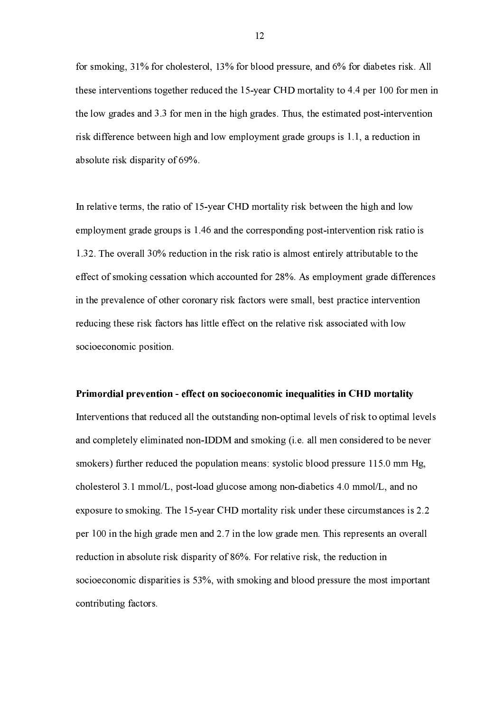for smoking, 31% for cholesterol, 13% for blood pressure, and 6% for diabetes risk. All these interventions together reduced the 15-year CHD mortality to 4.4 per 100 for men in the low grades and 3.3 for men in the high grades. Thus, the estimated post-intervention risk difference between high and low employment grade groups is 1.1, a reduction in absolute risk disparity of 69%.

In relative terms, the ratio of 15-year CHD mortality risk between the high and low employment grade groups is 1.46 and the corresponding post-intervention risk ratio is 1.32. The overall 30% reduction in the risk ratio is almost entirely attributable to the effect of smoking cessation which accounted for 28%. As employment grade differences in the prevalence of other coronary risk factors were small, best practice intervention reducing these risk factors has little effect on the relative risk associated with low socioeconomic position.

#### Primordial prevention - effect on socioeconomic inequalities in CHD mortality

Interventions that reduced all the outstanding non-optimal levels of risk to optimal levels and completely eliminated non-IDDM and smoking (i.e. all men considered to be never smokers) further reduced the population means: systolic blood pressure 115.0 mm Hg, cholesterol 3.1 mmol/L, post-load glucose among non-diabetics 4.0 mmol/L, and no exposure to smoking. The 15-year CHD mortality risk under these circumstances is 2.2 per 100 in the high grade men and 2.7 in the low grade men. This represents an overall reduction in absolute risk disparity of 86%. For relative risk, the reduction in socioeconomic disparities is 53%, with smoking and blood pressure the most important contributing factors.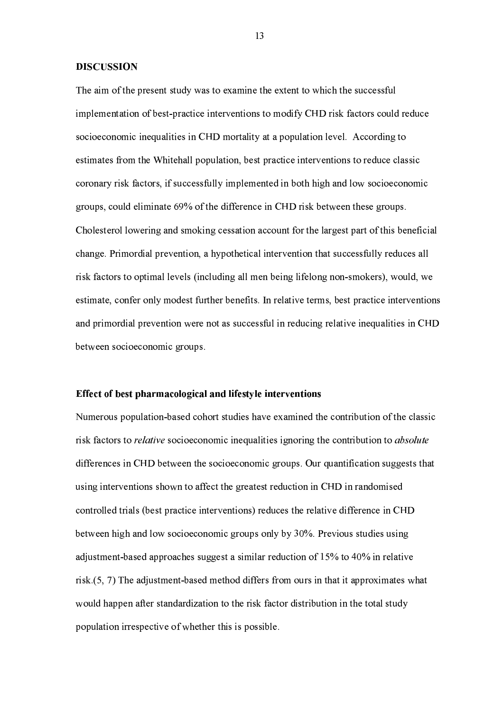#### **DISCUSSION**

The aim of the present study was to examine the extent to which the successful implementation of best-practice interventions to modify CHD risk factors could reduce socioeconomic inequalities in CHD mortality at a population level. According to estimates from the Whitehall population, best practice interventions to reduce classic coronary risk factors, if successfully implemented in both high and low socioeconomic groups, could eliminate 69% of the difference in CHD risk between these groups. Cholesterol lowering and smoking cessation account for the largest part of this beneficial change. Primordial prevention, a hypothetical intervention that successfully reduces all risk factors to optimal levels (including all men being lifelong non-smokers), would, we estimate, confer only modest further benefits. In relative terms, best practice interventions and primordial prevention were not as successful in reducing relative inequalities in CHD between socioeconomic groups.

#### Effect of best pharmacological and lifestyle interventions

Numerous population-based cohort studies have examined the contribution of the classic risk factors to *relative* socioeconomic inequalities ignoring the contribution to *absolute* differences in CHD between the socioeconomic groups. Our quantification suggests that using interventions shown to affect the greatest reduction in CHD in randomised controlled trials (best practice interventions) reduces the relative difference in CHD between high and low socioeconomic groups only by 30%. Previous studies using adjustment-based approaches suggest a similar reduction of 15% to 40% in relative  $risk(5, 7)$  The adjustment-based method differs from ours in that it approximates what would happen after standardization to the risk factor distribution in the total study population irrespective of whether this is possible.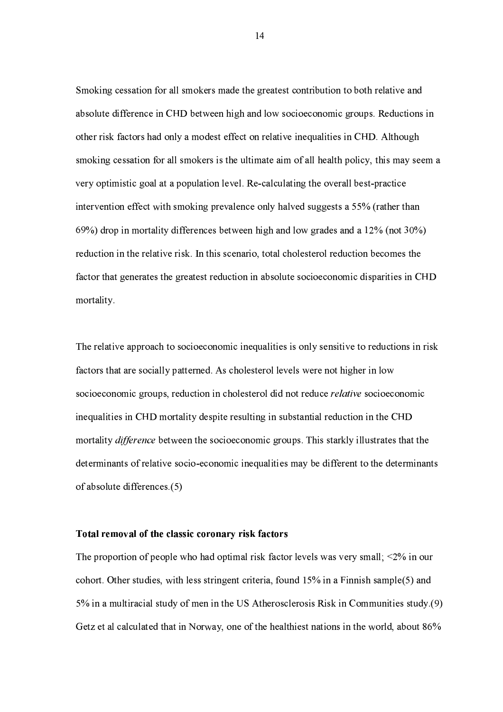Smoking cessation for all smokers made the greatest contribution to both relative and absolute difference in CHD between high and low socioeconomic groups. Reductions in other risk factors had only a modest effect on relative inequalities in CHD. Although smoking cessation for all smokers is the ultimate aim of all health policy, this may seem a very optimistic goal at a population level. Re-calculating the overall best-practice intervention effect with smoking prevalence only halved suggests a 55% (rather than  $(69%)$  drop in mortality differences between high and low grades and a 12% (not 30%) reduction in the relative risk. In this scenario, total cholesterol reduction becomes the factor that generates the greatest reduction in absolute socioeconomic disparities in CHD mortality.

The relative approach to socioeconomic inequalities is only sensitive to reductions in risk factors that are socially patterned. As cholesterol levels were not higher in low socioeconomic groups, reduction in cholesterol did not reduce *relative* socioeconomic inequalities in CHD mortality despite resulting in substantial reduction in the CHD mortality *difference* between the socioeconomic groups. This starkly illustrates that the determinants of relative socio-economic inequalities may be different to the determinants of absolute differences (5)

#### Total removal of the classic coronary risk factors

The proportion of people who had optimal risk factor levels was very small;  $\leq 2\%$  in our cohort. Other studies, with less stringent criteria, found 15% in a Finnish sample(5) and 5% in a multiracial study of men in the US Atherosclerosis Risk in Communities study (9) Getz et al calculated that in Norway, one of the healthiest nations in the world, about 86%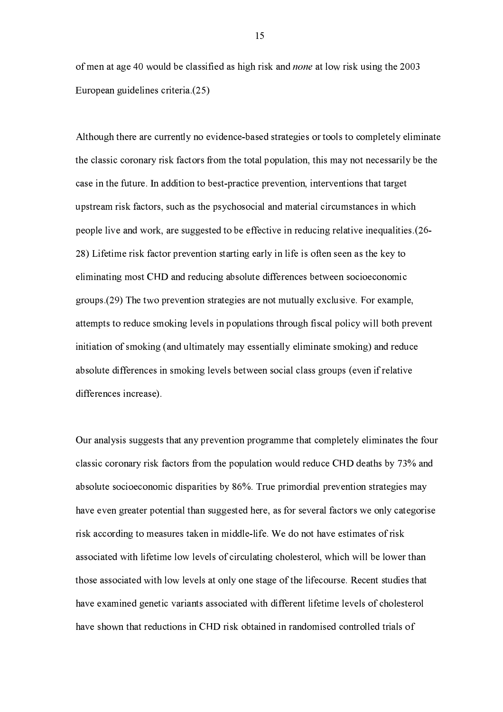of men at age 40 would be classified as high risk and *none* at low risk using the 2003 European guidelines criteria (25)

Although there are currently no evidence-based strategies or tools to completely eliminate the classic coronary risk factors from the total population, this may not necessarily be the case in the future. In addition to best-practice prevention, interventions that target upstream risk factors, such as the psychosocial and material circumstances in which people live and work, are suggested to be effective in reducing relative inequalities (26-28) Lifetime risk factor prevention starting early in life is often seen as the key to eliminating most CHD and reducing absolute differences between socioeconomic groups (29) The two prevention strategies are not mutually exclusive. For example, attempts to reduce smoking levels in populations through fiscal policy will both prevent initiation of smoking (and ultimately may essentially eliminate smoking) and reduce absolute differences in smoking levels between social class groups (even if relative differences increase).

Our analysis suggests that any prevention programme that completely eliminates the four classic coronary risk factors from the population would reduce CHD deaths by 73% and absolute socioeconomic disparities by 86%. True primordial prevention strategies may have even greater potential than suggested here, as for several factors we only categorise risk according to measures taken in middle-life. We do not have estimates of risk associated with lifetime low levels of circulating cholesterol, which will be lower than those associated with low levels at only one stage of the lifecourse. Recent studies that have examined genetic variants associated with different lifetime levels of cholesterol have shown that reductions in CHD risk obtained in randomised controlled trials of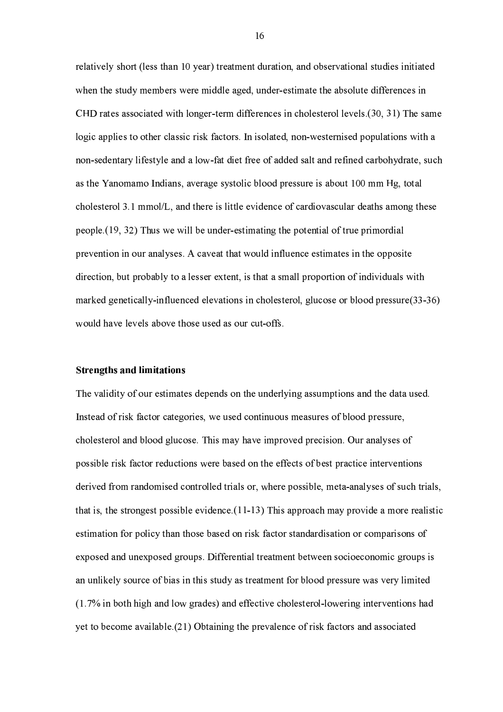relatively short (less than 10 year) treatment duration, and observational studies initiated when the study members were middle aged, under-estimate the absolute differences in CHD rates associated with longer-term differences in cholesterol levels (30, 31) The same logic applies to other classic risk factors. In isolated, non-westernised populations with a non-sedentary lifestyle and a low-fat diet free of added salt and refined carbohydrate, such as the Yanomamo Indians, average systolic blood pressure is about 100 mm Hg, total cholesterol 3.1 mmol/L, and there is little evidence of cardiovascular deaths among these people (19, 32) Thus we will be under-estimating the potential of true primordial prevention in our analyses. A caveat that would influence estimates in the opposite direction, but probably to a lesser extent, is that a small proportion of individuals with marked genetically-influenced elevations in cholesterol, glucose or blood pressure(33-36) would have levels above those used as our cut-offs.

#### **Strengths and limitations**

The validity of our estimates depends on the underlying assumptions and the data used. Instead of risk factor categories, we used continuous measures of blood pressure, cholesterol and blood glucose. This may have improved precision. Our analyses of possible risk factor reductions were based on the effects of best practice interventions derived from randomised controlled trials or, where possible, meta-analyses of such trials, that is, the strongest possible evidence  $(11-13)$  This approach may provide a more realistic estimation for policy than those based on risk factor standardisation or comparisons of exposed and unexposed groups. Differential treatment between socioeconomic groups is an unlikely source of bias in this study as treatment for blood pressure was very limited (1.7% in both high and low grades) and effective cholesterol-lowering interventions had yet to become available (21) Obtaining the prevalence of risk factors and associated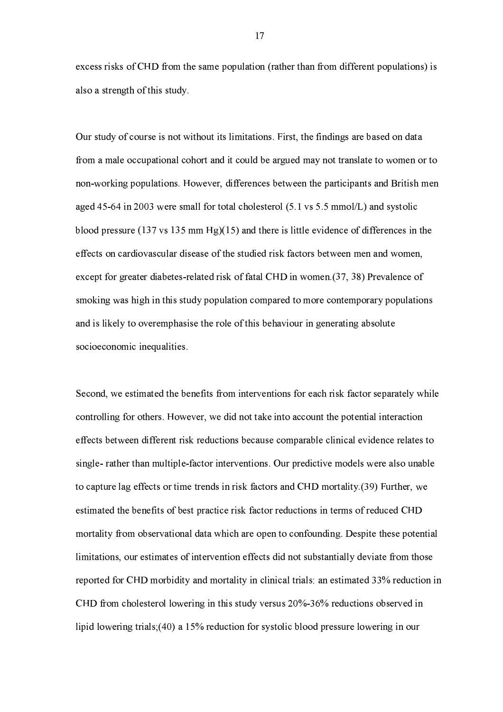excess risks of CHD from the same population (rather than from different populations) is also a strength of this study.

Our study of course is not without its limitations. First, the findings are based on data from a male occupational cohort and it could be argued may not translate to women or to non-working populations. However, differences between the participants and British men aged 45-64 in 2003 were small for total cholesterol  $(5.1 \text{ vs } 5.5 \text{ mmol/L})$  and systolic blood pressure (137 vs 135 mm Hg)(15) and there is little evidence of differences in the effects on cardiovascular disease of the studied risk factors between men and women, except for greater diabetes-related risk of fatal CHD in women (37, 38) Prevalence of smoking was high in this study population compared to more contemporary populations and is likely to overemphasise the role of this behaviour in generating absolute socioeconomic inequalities.

Second, we estimated the benefits from interventions for each risk factor separately while controlling for others. However, we did not take into account the potential interaction effects between different risk reductions because comparable clinical evidence relates to single- rather than multiple-factor interventions. Our predictive models were also unable to capture lag effects or time trends in risk factors and CHD mortality (39) Further, we estimated the benefits of best practice risk factor reductions in terms of reduced CHD mortality from observational data which are open to confounding. Despite these potential limitations, our estimates of intervention effects did not substantially deviate from those reported for CHD morbidity and mortality in clinical trials: an estimated 33% reduction in CHD from cholesterol lowering in this study versus 20%-36% reductions observed in lipid lowering trials; (40) a 15% reduction for systolic blood pressure lowering in our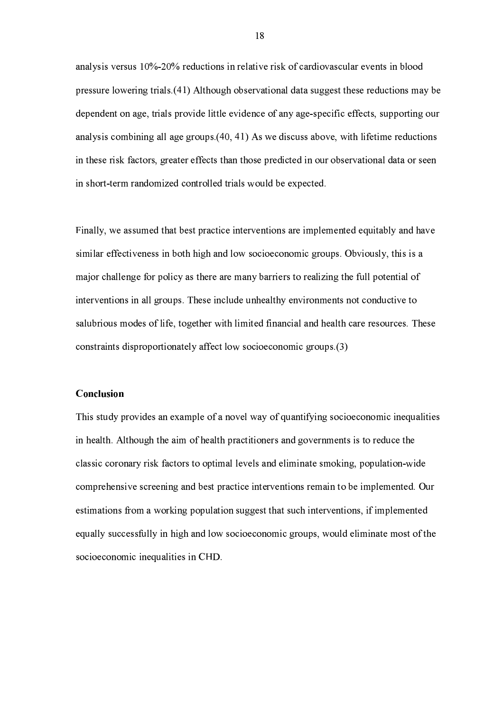analysis versus 10%-20% reductions in relative risk of cardiovascular events in blood pressure lowering trials (41) Although observational data suggest these reductions may be dependent on age, trials provide little evidence of any age-specific effects, supporting our analysis combining all age groups (40, 41) As we discuss above, with lifetime reductions in these risk factors, greater effects than those predicted in our observational data or seen in short-term randomized controlled trials would be expected.

Finally, we assumed that best practice interventions are implemented equitably and have similar effectiveness in both high and low socioeconomic groups. Obviously, this is a major challenge for policy as there are many barriers to realizing the full potential of interventions in all groups. These include unhealthy environments not conductive to salubrious modes of life, together with limited financial and health care resources. These constraints disproportionately affect low socioeconomic groups (3)

## Conclusion

This study provides an example of a novel way of quantifying socioeconomic inequalities in health. Although the aim of health practitioners and governments is to reduce the classic coronary risk factors to optimal levels and eliminate smoking, population-wide comprehensive screening and best practice interventions remain to be implemented. Our estimations from a working population suggest that such interventions, if implemented equally successfully in high and low socioeconomic groups, would eliminate most of the socioeconomic inequalities in CHD.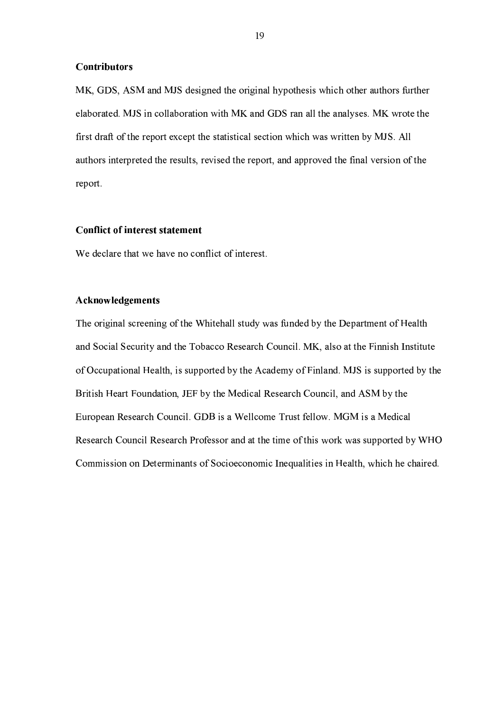#### **Contributors**

MK, GDS, ASM and MJS designed the original hypothesis which other authors further elaborated. MJS in collaboration with MK and GDS ran all the analyses. MK wrote the first draft of the report except the statistical section which was written by MJS. All authors interpreted the results, revised the report, and approved the final version of the report.

### **Conflict of interest statement**

We declare that we have no conflict of interest.

## Acknowledgements

The original screening of the Whitehall study was funded by the Department of Health and Social Security and the Tobacco Research Council. MK, also at the Finnish Institute of Occupational Health, is supported by the Academy of Finland. MJS is supported by the British Heart Foundation, JEF by the Medical Research Council, and ASM by the European Research Council. GDB is a Wellcome Trust fellow. MGM is a Medical Research Council Research Professor and at the time of this work was supported by WHO Commission on Determinants of Socioeconomic Inequalities in Health, which he chaired.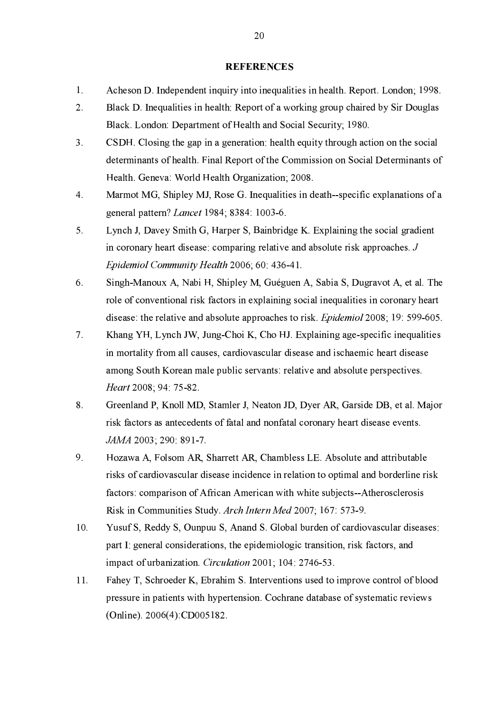#### **REFERENCES**

- $1<sub>1</sub>$ Acheson D. Independent inquiry into inequalities in health. Report. London; 1998.
- $2<sup>1</sup>$ Black D. Inequalities in health: Report of a working group chaired by Sir Douglas Black. London: Department of Health and Social Security; 1980.
- $3<sub>1</sub>$ CSDH. Closing the gap in a generation: health equity through action on the social determinants of health. Final Report of the Commission on Social Determinants of Health. Geneva: World Health Organization; 2008.
- $\overline{4}$ . Marmot MG, Shipley MJ, Rose G. Inequalities in death-specific explanations of a general pattern? *Lancet* 1984; 8384: 1003-6.
- $5<sub>1</sub>$ Lynch J, Davey Smith G, Harper S, Bainbridge K. Explaining the social gradient in coronary heart disease: comparing relative and absolute risk approaches.  $J$ Epidemiol Community Health 2006; 60: 436-41.
- 6. Singh-Manoux A, Nabi H, Shipley M, Guéguen A, Sabia S, Dugravot A, et al. The role of conventional risk factors in explaining social inequalities in coronary heart disease: the relative and absolute approaches to risk. *Epidemiol* 2008; 19: 599-605.
- $7<sub>1</sub>$ Khang YH, Lynch JW, Jung-Choi K, Cho HJ. Explaining age-specific inequalities in mortality from all causes, cardiovascular disease and ischaemic heart disease among South Korean male public servants: relative and absolute perspectives. Heart 2008; 94: 75-82.
- $8<sub>1</sub>$ Greenland P, Knoll MD, Stamler J, Neaton JD, Dyer AR, Garside DB, et al. Major risk factors as antecedents of fatal and nonfatal coronary heart disease events. JAMA 2003; 290: 891-7.
- 9. Hozawa A, Folsom AR, Sharrett AR, Chambless LE. Absolute and attributable risks of cardiovascular disease incidence in relation to optimal and borderline risk factors: comparison of African American with white subjects--Atherosclerosis Risk in Communities Study Arch Intern Med 2007; 167: 573-9.
- $10<sub>1</sub>$ Yusuf S, Reddy S, Ounpuu S, Anand S. Global burden of cardiovascular diseases: part I: general considerations, the epidemiologic transition, risk factors, and impact of urbanization. *Circulation* 2001; 104: 2746-53.
- 11. Fahey T, Schroeder K, Ebrahim S. Interventions used to improve control of blood pressure in patients with hypertension. Cochrane database of systematic reviews (Online). 2006(4):CD005182.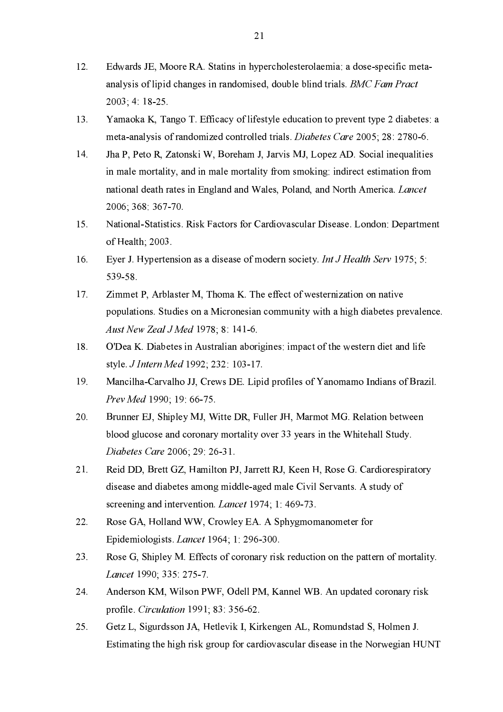- $12.$ Edwards JE, Moore RA. Statins in hypercholesterolaemia: a dose-specific metaanalysis of lipid changes in randomised, double blind trials. BMC Fam Pract  $2003; 4 \ 18-25$
- Yamaoka K, Tango T. Efficacy of lifestyle education to prevent type 2 diabetes: a 13. meta-analysis of randomized controlled trials. Diabetes Care 2005; 28: 2780-6.
- $14<sup>°</sup>$ Jha P, Peto R, Zatonski W, Boreham J, Jarvis MJ, Lopez AD. Social inequalities in male mortality, and in male mortality from smoking: indirect estimation from national death rates in England and Wales, Poland, and North America. Lancet 2006; 368: 367-70.
- 15. National-Statistics. Risk Factors for Cardiovascular Disease. London: Department of Health; 2003.
- Eyer J. Hypertension as a disease of modern society. Int J Health Serv 1975; 5: 16. 539-58.
- $17<sub>1</sub>$ Zimmet P, Arblaster M, Thoma K. The effect of westernization on native populations. Studies on a Micronesian community with a high diabetes prevalence. Aust New Zeal J Med 1978; 8: 141-6.
- 18. O'Dea K. Diabetes in Australian aborigines: impact of the western diet and life style. *J Intern Med* 1992; 232: 103-17.
- 19. Mancilha-Carvalho JJ, Crews DE. Lipid profiles of Yanomamo Indians of Brazil. Prev Med 1990; 19: 66-75.
- Brunner EJ, Shipley MJ, Witte DR, Fuller JH, Marmot MG. Relation between 20. blood glucose and coronary mortality over 33 years in the Whitehall Study. Diabetes Care 2006; 29: 26-31.
- $21.$ Reid DD, Brett GZ, Hamilton PJ, Jarrett RJ, Keen H, Rose G. Cardiorespiratory disease and diabetes among middle-aged male Civil Servants. A study of screening and intervention. *Lancet* 1974; 1:469-73.
- Rose GA, Holland WW, Crowley EA. A Sphygmomanometer for 22. Epidemiologists. Lancet 1964; 1: 296-300.
- 23. Rose G, Shipley M. Effects of coronary risk reduction on the pattern of mortality. Lancet 1990; 335: 275-7.
- 24. Anderson KM, Wilson PWF, Odell PM, Kannel WB. An updated coronary risk profile. *Circulation* 1991; 83: 356-62.
- $25<sub>1</sub>$ Getz L. Sigurdsson JA, Hetlevik I, Kirkengen AL, Romundstad S, Holmen J. Estimating the high risk group for cardiovascular disease in the Norwegian HUNT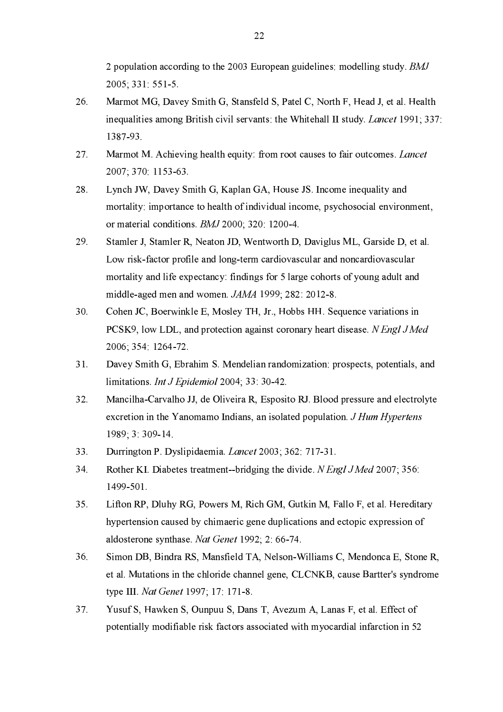2 population according to the 2003 European guidelines: modelling study. BMJ 2005; 331: 551-5.

- Marmot MG, Davey Smith G, Stansfeld S, Patel C, North F, Head J, et al. Health 26. inequalities among British civil servants: the Whitehall II study. Lancet 1991; 337: 1387-93.
- $27$ Marmot M. Achieving health equity: from root causes to fair outcomes. *Lancet* 2007; 370: 1153-63.
- 28. Lynch JW, Davey Smith G, Kaplan GA, House JS. Income inequality and mortality: importance to health of individual income, psychosocial environment, or material conditions. BMJ 2000; 320: 1200-4.
- 29. Stamler J, Stamler R, Neaton JD, Wentworth D, Daviglus ML, Garside D, et al. Low risk-factor profile and long-term cardiovascular and noncardiovascular mortality and life expectancy: findings for 5 large cohorts of young adult and middle-aged men and women. JAMA 1999; 282: 2012-8.
- $30.$ Cohen JC, Boerwinkle E, Mosley TH, Jr., Hobbs HH. Sequence variations in PCSK9, low LDL, and protection against coronary heart disease. N Engl J Med 2006; 354: 1264-72.
- 31. Davey Smith G, Ebrahim S. Mendelian randomization: prospects, potentials, and limitations. Int J Epidemiol 2004; 33: 30-42.
- $32.$ Mancilha-Carvalho JJ, de Oliveira R, Esposito RJ. Blood pressure and electrolyte excretion in the Yanomamo Indians, an isolated population. J Hum Hypertens 1989; 3:309-14.
- 33. Durrington P. Dyslipidaemia. Lancet 2003; 362: 717-31.
- Rother KI. Diabetes treatment--bridging the divide. N Engl J Med 2007: 356: 34. 1499-501.
- $35.$ Lifton RP, Dluhy RG, Powers M, Rich GM, Gutkin M, Fallo F, et al. Hereditary hypertension caused by chimaeric gene duplications and ectopic expression of aldosterone synthase. Nat Genet 1992; 2: 66-74.
- 36. Simon DB, Bindra RS, Mansfield TA, Nelson-Williams C, Mendonca E, Stone R, et al. Mutations in the chloride channel gene, CLCNKB, cause Bartter's syndrome type III. Nat Genet 1997; 17: 171-8.
- 37. Yusuf S, Hawken S, Ounpuu S, Dans T, Avezum A, Lanas F, et al. Effect of potentially modifiable risk factors associated with myocardial infarction in 52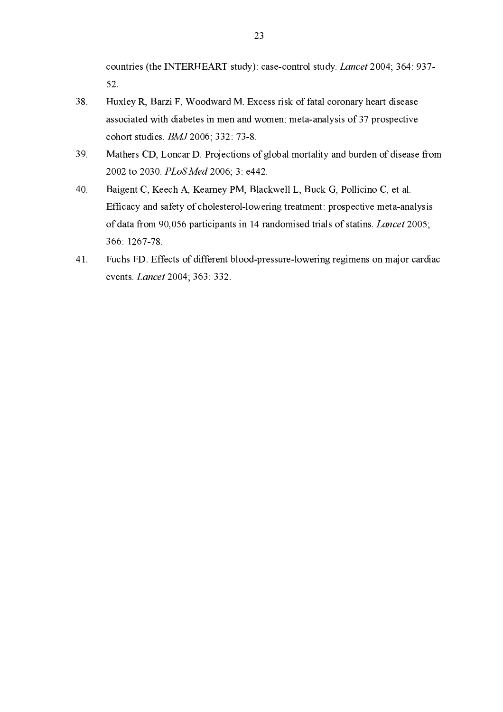countries (the INTERHEART study): case-control study. Lancet 2004; 364: 937- $52.$ 

- 38. Huxley R, Barzi F, Woodward M. Excess risk of fatal coronary heart disease associated with diabetes in men and women: meta-analysis of 37 prospective cohort studies. BMJ 2006; 332: 73-8.
- 39 Mathers CD, Loncar D. Projections of global mortality and burden of disease from 2002 to 2030. PLoS Med 2006; 3: e442.
- $40.$ Baigent C, Keech A, Kearney PM, Blackwell L, Buck G, Pollicino C, et al. Efficacy and safety of cholesterol-lowering treatment: prospective meta-analysis of data from 90,056 participants in 14 randomised trials of statins. Lancet 2005; 366 1267-78.
- Fuchs FD. Effects of different blood-pressure-lowering regimens on major cardiac 41. events. *Lancet* 2004; 363: 332.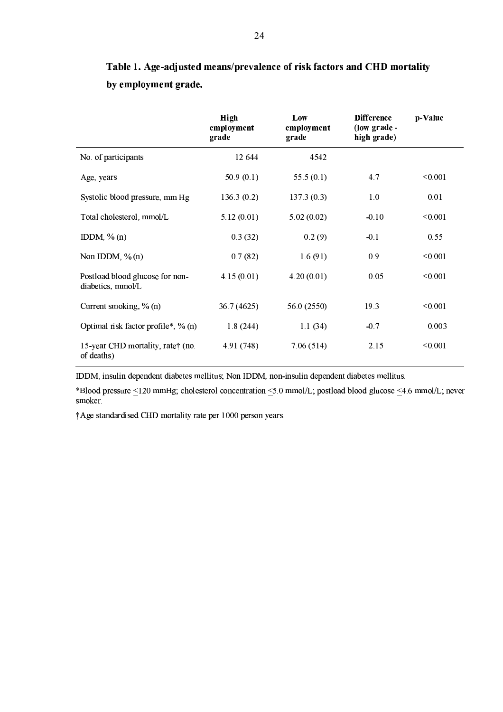|                                                      | High<br>employment<br>grade | Low<br>employment<br>grade | <b>Difference</b><br>(low grade -<br>high grade) | p-Value |
|------------------------------------------------------|-----------------------------|----------------------------|--------------------------------------------------|---------|
| No. of participants                                  | 12 644                      | 4542                       |                                                  |         |
| Age, years                                           | 50.9(0.1)                   | 55.5 $(0.1)$               | 4.7                                              | < 0.001 |
| Systolic blood pressure, mm Hg                       | 136.3(0.2)                  | 137.3(0.3)                 | 1.0                                              | 0.01    |
| Total cholesterol, mmol/L                            | 5.12(0.01)                  | 5.02(0.02)                 | $-0.10$                                          | < 0.001 |
| IDDM, $\%$ (n)                                       | 0.3(32)                     | 0.2(9)                     | $-0.1$                                           | 0.55    |
| Non IDDM, $\%$ (n)                                   | 0.7(82)                     | 1.6(91)                    | 0.9                                              | < 0.001 |
| Postload blood glucose for non-<br>diabetics, mmol/L | 4.15(0.01)                  | 4.20(0.01)                 | 0.05                                             | < 0.001 |
| Current smoking, % (n)                               | 36.7 (4625)                 | 56.0 (2550)                | 19.3                                             | < 0.001 |
| Optimal risk factor profile*, % (n)                  | 1.8(244)                    | 1.1(34)                    | $-0.7$                                           | 0.003   |
| 15-year CHD mortality, rate† (no.<br>of deaths)      | 4.91 (748)                  | 7.06(514)                  | 2.15                                             | < 0.001 |

Table 1. Age-adjusted means/prevalence of risk factors and CHD mortality by employment grade.

IDDM, insulin dependent diabetes mellitus; Non IDDM, non-insulin dependent diabetes mellitus.

\*Blood pressure <120 mmHg; cholesterol concentration <5.0 mmol/L; postload blood glucose <4.6 mmol/L; never smoker.

†Age standardised CHD mortality rate per 1000 person years.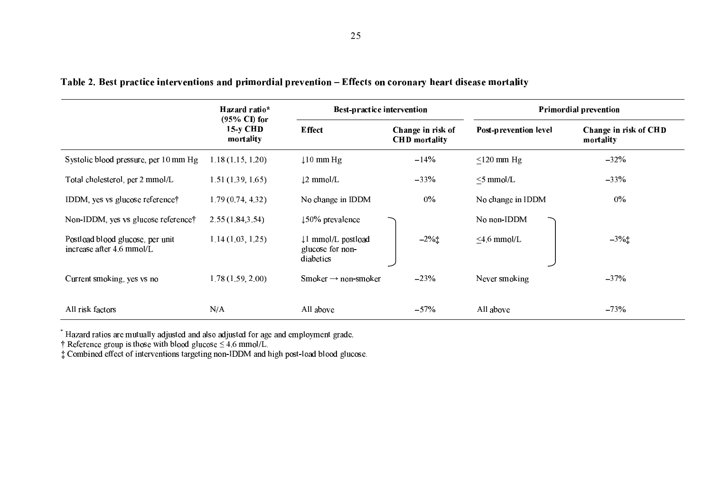|                                                               | Hazard ratio*                                      | <b>Best-practice intervention</b>                  |                                           | <b>Primordial prevention</b> |                                           |  |
|---------------------------------------------------------------|----------------------------------------------------|----------------------------------------------------|-------------------------------------------|------------------------------|-------------------------------------------|--|
|                                                               | $(95\% \text{ Cl})$ for<br>$15-y$ CHD<br>mortality | <b>Effect</b>                                      | Change in risk of<br><b>CHD</b> mortality | <b>Post-prevention level</b> | <b>Change in risk of CHD</b><br>mortality |  |
| Systolic blood pressure, per 10 mm Hg                         | 1.18(1.15, 1.20)                                   | $\downarrow$ 10 mm Hg                              | $-14%$                                    | $\leq$ 120 mm Hg             | $-32\%$                                   |  |
| Total cholesterol, per 2 mmol/L                               | 1.51(1.39, 1.65)                                   | $\downarrow$ 2 mmol/L                              | $-33%$                                    | $\leq$ 5 mmol/L              | $-33%$                                    |  |
| IDDM, yes vs glucose reference;                               | 1.79(0.74, 4.32)                                   | No change in IDDM                                  | $0\%$                                     | No change in IDDM            | $0\%$                                     |  |
| Non-IDDM, yes vs glucose reference†                           | 2.55(1.84, 3.54)                                   | $150\%$ prevalence                                 |                                           | No non-IDDM                  |                                           |  |
| Postload blood glucose, per unit<br>increase after 4.6 mmol/L | 1.14(1.03, 1.25)                                   | 1 mmol/L postload<br>glucose for non-<br>diabetics | $-2\%$ $\ddagger$                         | $<$ 4.6 mmol/L               | $-3\%$ <sup>+</sup>                       |  |
| Current smoking, yes vs no                                    | 1.78(1.59, 2.00)                                   | Smoker $\rightarrow$ non-smoker                    | $-23%$                                    | Never smoking                | $-37%$                                    |  |
| All risk factors                                              | N/A                                                | All above                                          | $-57%$                                    | All above                    | $-73%$                                    |  |

## Table 2. Best practice interventions and primordial prevention - Effects on coronary heart disease mortality

 $^*$  Hazard ratios are mutually adjusted and also adjusted for age and employment grade.<br>† Reference group is those with blood glucose  $\leq 4.6$  mmol/L.<br>‡ Combined effect of interventions targeting non-IDDM and high post-